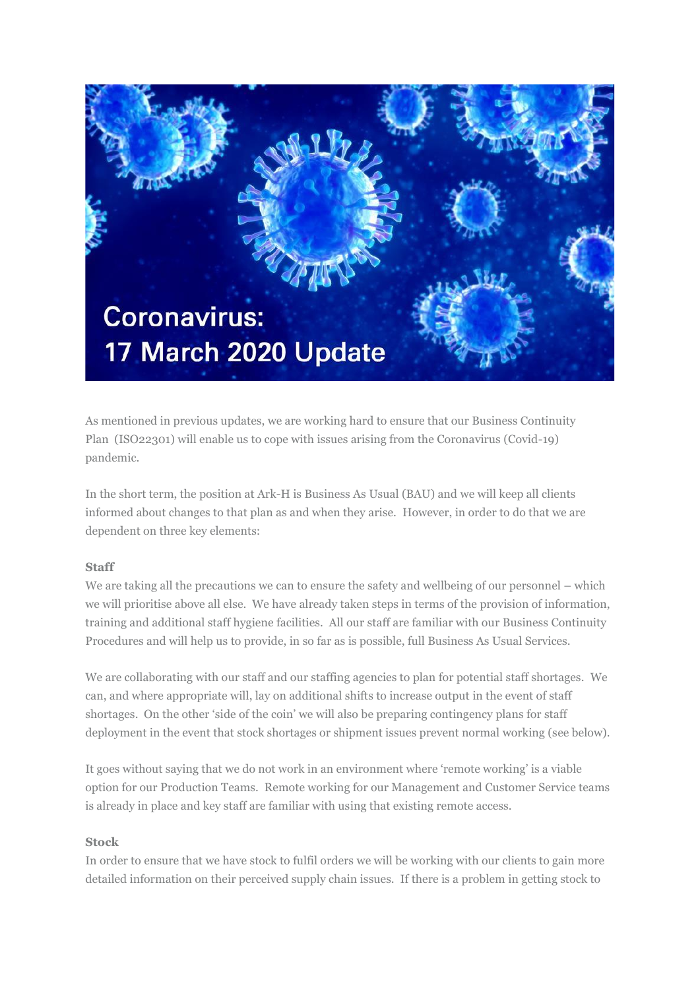

As mentioned in previous updates, we are working hard to ensure that our Business Continuity Plan (ISO22301) will enable us to cope with issues arising from the Coronavirus (Covid-19) pandemic.

In the short term, the position at Ark-H is Business As Usual (BAU) and we will keep all clients informed about changes to that plan as and when they arise. However, in order to do that we are dependent on three key elements:

## **Staff**

We are taking all the precautions we can to ensure the safety and wellbeing of our personnel – which we will prioritise above all else. We have already taken steps in terms of the provision of information, training and additional staff hygiene facilities. All our staff are familiar with our Business Continuity Procedures and will help us to provide, in so far as is possible, full Business As Usual Services.

We are collaborating with our staff and our staffing agencies to plan for potential staff shortages. We can, and where appropriate will, lay on additional shifts to increase output in the event of staff shortages. On the other 'side of the coin' we will also be preparing contingency plans for staff deployment in the event that stock shortages or shipment issues prevent normal working (see below).

It goes without saying that we do not work in an environment where 'remote working' is a viable option for our Production Teams. Remote working for our Management and Customer Service teams is already in place and key staff are familiar with using that existing remote access.

## **Stock**

In order to ensure that we have stock to fulfil orders we will be working with our clients to gain more detailed information on their perceived supply chain issues. If there is a problem in getting stock to